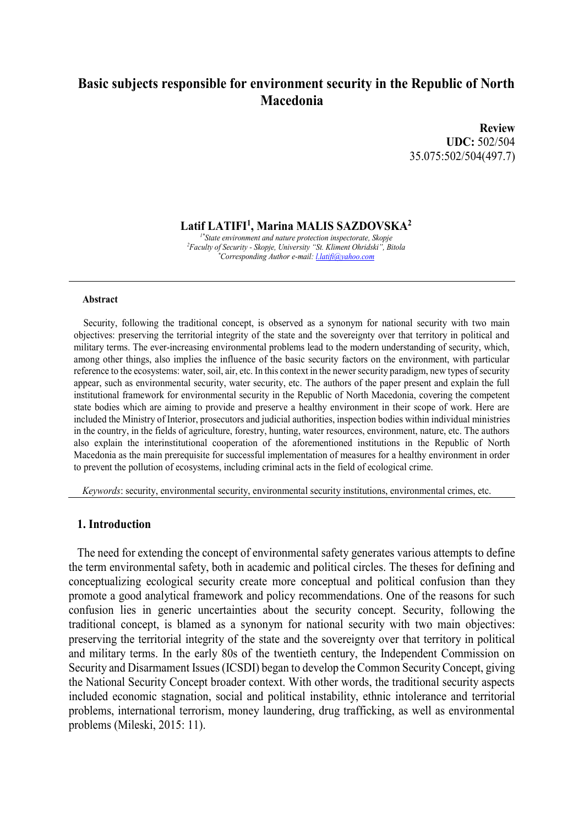# **Basic subjects responsible for environment security in the Republic of North Macedonia**

**Review UDC:** 502/504 35.075:502/504(497.7)

**Latif LATIFI<sup>1</sup> , Marina MALIS SAZDOVSKA<sup>2</sup>**

*1\*State environment and nature protection inspectorate, Skopje <sup>2</sup>Faculty of Security - Skopje, University "St. Kliment Ohridski", Bitola \*Corresponding Author e-mail: l.latifi@yahoo.com*

#### **Abstract**

 Security, following the traditional concept, is observed as a synonym for national security with two main objectives: preserving the territorial integrity of the state and the sovereignty over that territory in political and military terms. The ever-increasing environmental problems lead to the modern understanding of security, which, among other things, also implies the influence of the basic security factors on the environment, with particular reference to the ecosystems: water, soil, air, etc. In this context in the newer security paradigm, new types of security appear, such as environmental security, water security, etc. The authors of the paper present and explain the full institutional framework for environmental security in the Republic of North Macedonia, covering the competent state bodies which are aiming to provide and preserve a healthy environment in their scope of work. Here are included the Ministry of Interior, prosecutors and judicial authorities, inspection bodies within individual ministries in the country, in the fields of agriculture, forestry, hunting, water resources, environment, nature, etc. The authors also explain the interinstitutional cooperation of the aforementioned institutions in the Republic of North Macedonia as the main prerequisite for successful implementation of measures for a healthy environment in order to prevent the pollution of ecosystems, including criminal acts in the field of ecological crime.

*Keywords*: security, environmental security, environmental security institutions, environmental crimes, etc.

#### **1. Introduction**

The need for extending the concept of environmental safety generates various attempts to define the term environmental safety, both in academic and political circles. The theses for defining and conceptualizing ecological security create more conceptual and political confusion than they promote a good analytical framework and policy recommendations. One of the reasons for such confusion lies in generic uncertainties about the security concept. Security, following the traditional concept, is blamed as a synonym for national security with two main objectives: preserving the territorial integrity of the state and the sovereignty over that territory in political and military terms. In the early 80s of the twentieth century, the Independent Commission on Security and Disarmament Issues (ICSDI) began to develop the Common Security Concept, giving the National Security Concept broader context. With other words, the traditional security aspects included economic stagnation, social and political instability, ethnic intolerance and territorial problems, international terrorism, money laundering, drug trafficking, as well as environmental problems (Mileski, 2015: 11).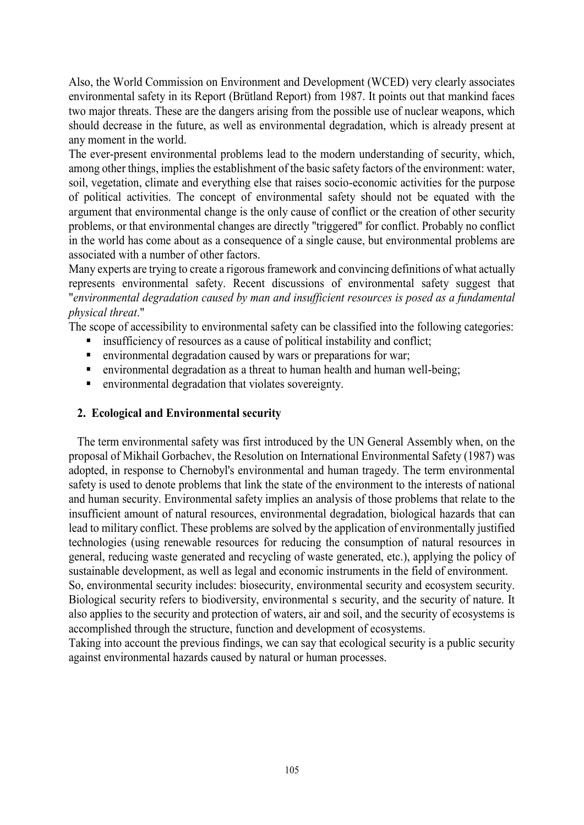Also, the World Commission on Environment and Development (WCED) very clearly associates environmental safety in its Report (Brütland Report) from 1987. It points out that mankind faces two major threats. These are the dangers arising from the possible use of nuclear weapons, which should decrease in the future, as well as environmental degradation, which is already present at any moment in the world.

The ever-present environmental problems lead to the modern understanding of security, which, among other things, implies the establishment of the basic safety factors of the environment: water, soil, vegetation, climate and everything else that raises socio-economic activities for the purpose of political activities. The concept of environmental safety should not be equated with the argument that environmental change is the only cause of conflict or the creation of other security problems, or that environmental changes are directly "triggered" for conflict. Probably no conflict in the world has come about as a consequence of a single cause, but environmental problems are associated with a number of other factors.

Many experts are trying to create a rigorous framework and convincing definitions of what actually represents environmental safety. Recent discussions of environmental safety suggest that "*environmental degradation caused by man and insufficient resources is posed as a fundamental physical threat*."

The scope of accessibility to environmental safety can be classified into the following categories:

- insufficiency of resources as a cause of political instability and conflict;
- environmental degradation caused by wars or preparations for war;
- environmental degradation as a threat to human health and human well-being;
- environmental degradation that violates sovereignty.

## **2. Ecological and Environmental security**

The term environmental safety was first introduced by the UN General Assembly when, on the proposal of Mikhail Gorbachev, the Resolution on International Environmental Safety (1987) was adopted, in response to Chernobyl's environmental and human tragedy. The term environmental safety is used to denote problems that link the state of the environment to the interests of national and human security. Environmental safety implies an analysis of those problems that relate to the insufficient amount of natural resources, environmental degradation, biological hazards that can lead to military conflict. These problems are solved by the application of environmentally justified technologies (using renewable resources for reducing the consumption of natural resources in general, reducing waste generated and recycling of waste generated, etc.), applying the policy of sustainable development, as well as legal and economic instruments in the field of environment. So, environmental security includes: biosecurity, environmental security and ecosystem security.

Biological security refers to biodiversity, environmental s security, and the security of nature. It also applies to the security and protection of waters, air and soil, and the security of ecosystems is accomplished through the structure, function and development of ecosystems.

Taking into account the previous findings, we can say that ecological security is a public security against environmental hazards caused by natural or human processes.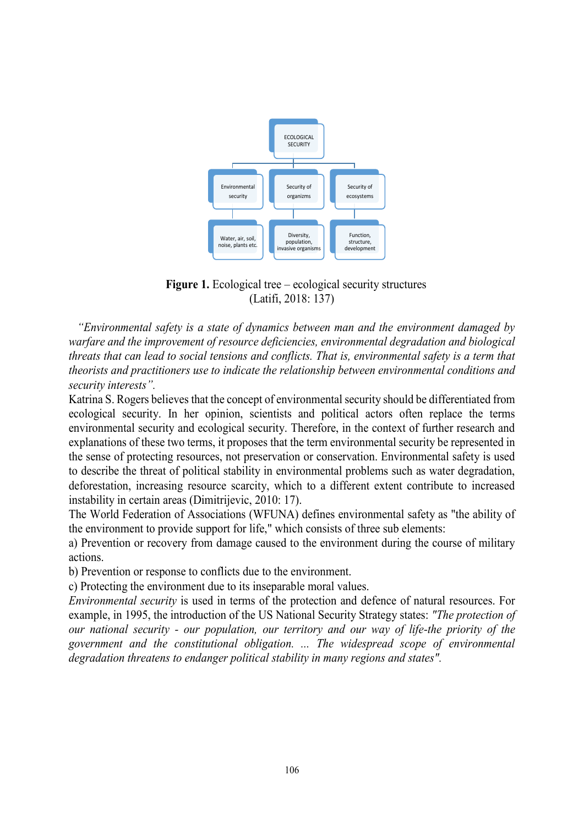

**Figure 1.** Ecological tree – ecological security structures (Latifi, 2018: 137)

*"Environmental safety is a state of dynamics between man and the environment damaged by warfare and the improvement of resource deficiencies, environmental degradation and biological threats that can lead to social tensions and conflicts. That is, environmental safety is a term that theorists and practitioners use to indicate the relationship between environmental conditions and security interests".*

Katrina S. Rogers believes that the concept of environmental security should be differentiated from ecological security. In her opinion, scientists and political actors often replace the terms environmental security and ecological security. Therefore, in the context of further research and explanations of these two terms, it proposes that the term environmental security be represented in the sense of protecting resources, not preservation or conservation. Environmental safety is used to describe the threat of political stability in environmental problems such as water degradation, deforestation, increasing resource scarcity, which to a different extent contribute to increased instability in certain areas (Dimitrijevic, 2010: 17).

The World Federation of Associations (WFUNA) defines environmental safety as "the ability of the environment to provide support for life," which consists of three sub elements:

a) Prevention or recovery from damage caused to the environment during the course of military actions.

b) Prevention or response to conflicts due to the environment.

c) Protecting the environment due to its inseparable moral values.

*Environmental security* is used in terms of the protection and defence of natural resources. For example, in 1995, the introduction of the US National Security Strategy states: *"The protection of our national security - our population, our territory and our way of life-the priority of the government and the constitutional obligation. ... The widespread scope of environmental degradation threatens to endanger political stability in many regions and states".*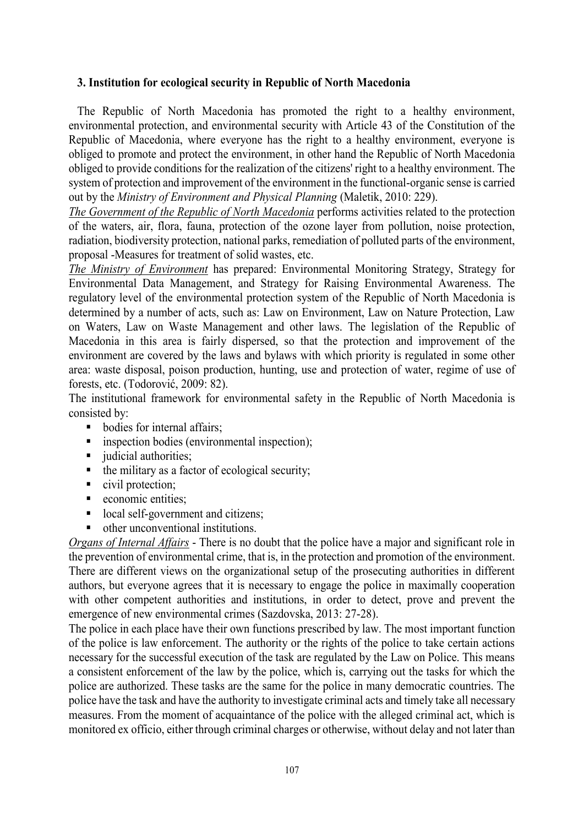### **3. Institution for ecological security in Republic of North Macedonia**

The Republic of North Macedonia has promoted the right to a healthy environment, environmental protection, and environmental security with Article 43 of the Constitution of the Republic of Macedonia, where everyone has the right to a healthy environment, everyone is obliged to promote and protect the environment, in other hand the Republic of North Macedonia obliged to provide conditions for the realization of the citizens' right to a healthy environment. The system of protection and improvement of the environment in the functional-organic sense is carried out by the *Ministry of Environment and Physical Planning* (Maletik, 2010: 229).

*The Government of the Republic of North Macedonia* performs activities related to the protection of the waters, air, flora, fauna, protection of the ozone layer from pollution, noise protection, radiation, biodiversity protection, national parks, remediation of polluted parts of the environment, proposal -Measures for treatment of solid wastes, etc.

*The Ministry of Environment* has prepared: Environmental Monitoring Strategy, Strategy for Environmental Data Management, and Strategy for Raising Environmental Awareness. The regulatory level of the environmental protection system of the Republic of North Macedonia is determined by a number of acts, such as: Law on Environment, Law on Nature Protection, Law on Waters, Law on Waste Management and other laws. The legislation of the Republic of Macedonia in this area is fairly dispersed, so that the protection and improvement of the environment are covered by the laws and bylaws with which priority is regulated in some other area: waste disposal, poison production, hunting, use and protection of water, regime of use of forests, etc. (Todorović, 2009: 82).

The institutional framework for environmental safety in the Republic of North Macedonia is consisted by:

- bodies for internal affairs;
- **i** inspection bodies (environmental inspection);
- udicial authorities:
- $\blacksquare$  the military as a factor of ecological security;
- civil protection;
- **exercise** economic entities;
- local self-government and citizens;
- other unconventional institutions.

*Organs of Internal Affairs* - There is no doubt that the police have a major and significant role in the prevention of environmental crime, that is, in the protection and promotion of the environment. There are different views on the organizational setup of the prosecuting authorities in different authors, but everyone agrees that it is necessary to engage the police in maximally cooperation with other competent authorities and institutions, in order to detect, prove and prevent the emergence of new environmental crimes (Sazdovska, 2013: 27-28).

The police in each place have their own functions prescribed by law. The most important function of the police is law enforcement. The authority or the rights of the police to take certain actions necessary for the successful execution of the task are regulated by the Law on Police. This means a consistent enforcement of the law by the police, which is, carrying out the tasks for which the police are authorized. These tasks are the same for the police in many democratic countries. The police have the task and have the authority to investigate criminal acts and timely take all necessary measures. From the moment of acquaintance of the police with the alleged criminal act, which is monitored ex officio, either through criminal charges or otherwise, without delay and not later than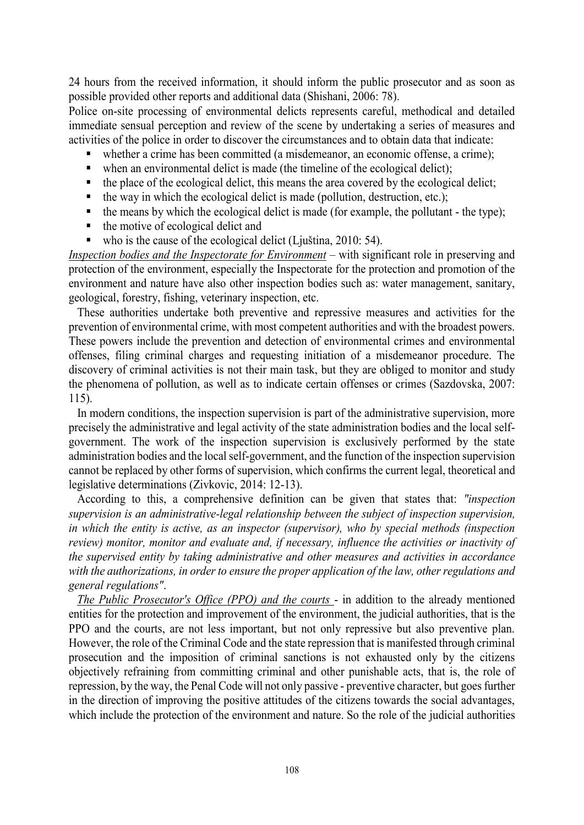24 hours from the received information, it should inform the public prosecutor and as soon as possible provided other reports and additional data (Shishani, 2006: 78).

Police on-site processing of environmental delicts represents careful, methodical and detailed immediate sensual perception and review of the scene by undertaking a series of measures and activities of the police in order to discover the circumstances and to obtain data that indicate:

- whether a crime has been committed (a misdemeanor, an economic offense, a crime);
- when an environmental delict is made (the timeline of the ecological delict);
- $\bullet$  the place of the ecological delict, this means the area covered by the ecological delict;
- $\blacksquare$  the way in which the ecological delict is made (pollution, destruction, etc.);
- $\bullet$  the means by which the ecological delict is made (for example, the pollutant the type);
- $\blacksquare$  the motive of ecological delict and
- who is the cause of the ecological delict (Ljuština, 2010: 54).

*Inspection bodies and the Inspectorate for Environment* – with significant role in preserving and protection of the environment, especially the Inspectorate for the protection and promotion of the environment and nature have also other inspection bodies such as: water management, sanitary, geological, forestry, fishing, veterinary inspection, etc.

These authorities undertake both preventive and repressive measures and activities for the prevention of environmental crime, with most competent authorities and with the broadest powers. These powers include the prevention and detection of environmental crimes and environmental offenses, filing criminal charges and requesting initiation of a misdemeanor procedure. The discovery of criminal activities is not their main task, but they are obliged to monitor and study the phenomena of pollution, as well as to indicate certain offenses or crimes (Sazdovska, 2007: 115).

In modern conditions, the inspection supervision is part of the administrative supervision, more precisely the administrative and legal activity of the state administration bodies and the local selfgovernment. The work of the inspection supervision is exclusively performed by the state administration bodies and the local self-government, and the function of the inspection supervision cannot be replaced by other forms of supervision, which confirms the current legal, theoretical and legislative determinations (Zivkovic, 2014: 12-13).

According to this, a comprehensive definition can be given that states that: *"inspection supervision is an administrative-legal relationship between the subject of inspection supervision, in which the entity is active, as an inspector (supervisor), who by special methods (inspection review) monitor, monitor and evaluate and, if necessary, influence the activities or inactivity of the supervised entity by taking administrative and other measures and activities in accordance with the authorizations, in order to ensure the proper application of the law, other regulations and general regulations"*.

*The Public Prosecutor's Office (PPO) and the courts* - in addition to the already mentioned entities for the protection and improvement of the environment, the judicial authorities, that is the PPO and the courts, are not less important, but not only repressive but also preventive plan. However, the role of the Criminal Code and the state repression that is manifested through criminal prosecution and the imposition of criminal sanctions is not exhausted only by the citizens objectively refraining from committing criminal and other punishable acts, that is, the role of repression, by the way, the Penal Code will not only passive - preventive character, but goes further in the direction of improving the positive attitudes of the citizens towards the social advantages, which include the protection of the environment and nature. So the role of the judicial authorities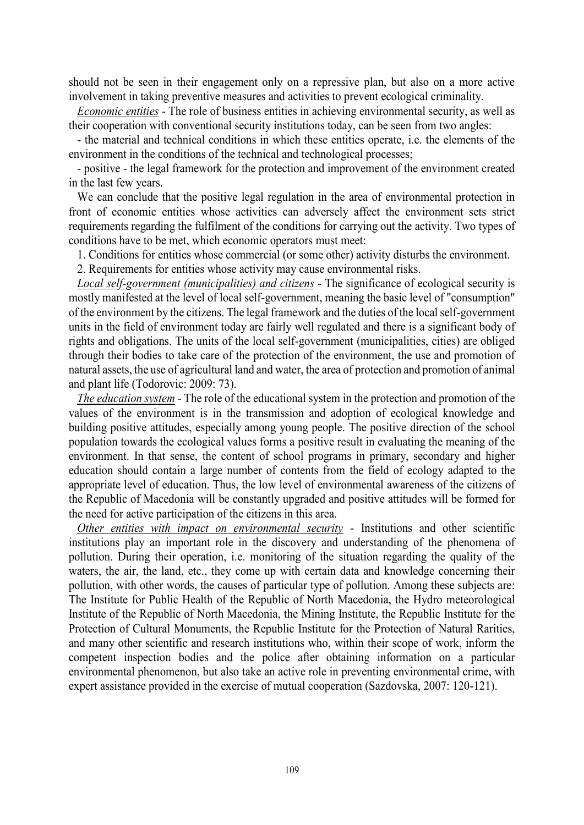should not be seen in their engagement only on a repressive plan, but also on a more active involvement in taking preventive measures and activities to prevent ecological criminality.

*Economic entities* - The role of business entities in achieving environmental security, as well as their cooperation with conventional security institutions today, can be seen from two angles:

- the material and technical conditions in which these entities operate, i.e. the elements of the environment in the conditions of the technical and technological processes;

- positive - the legal framework for the protection and improvement of the environment created in the last few years.

We can conclude that the positive legal regulation in the area of environmental protection in front of economic entities whose activities can adversely affect the environment sets strict requirements regarding the fulfilment of the conditions for carrying out the activity. Two types of conditions have to be met, which economic operators must meet:

1. Conditions for entities whose commercial (or some other) activity disturbs the environment.

2. Requirements for entities whose activity may cause environmental risks.

*Local self-government (municipalities) and citizens* - The significance of ecological security is mostly manifested at the level of local self-government, meaning the basic level of "consumption" of the environment by the citizens. The legal framework and the duties of the local self-government units in the field of environment today are fairly well regulated and there is a significant body of rights and obligations. The units of the local self-government (municipalities, cities) are obliged through their bodies to take care of the protection of the environment, the use and promotion of natural assets, the use of agricultural land and water, the area of protection and promotion of animal and plant life (Todorovic: 2009: 73).

*The education system* - The role of the educational system in the protection and promotion of the values of the environment is in the transmission and adoption of ecological knowledge and building positive attitudes, especially among young people. The positive direction of the school population towards the ecological values forms a positive result in evaluating the meaning of the environment. In that sense, the content of school programs in primary, secondary and higher education should contain a large number of contents from the field of ecology adapted to the appropriate level of education. Thus, the low level of environmental awareness of the citizens of the Republic of Macedonia will be constantly upgraded and positive attitudes will be formed for the need for active participation of the citizens in this area.

*Other entities with impact on environmental security* - Institutions and other scientific institutions play an important role in the discovery and understanding of the phenomena of pollution. During their operation, i.e. monitoring of the situation regarding the quality of the waters, the air, the land, etc., they come up with certain data and knowledge concerning their pollution, with other words, the causes of particular type of pollution. Among these subjects are: The Institute for Public Health of the Republic of North Macedonia, the Hydro meteorological Institute of the Republic of North Macedonia, the Mining Institute, the Republic Institute for the Protection of Cultural Monuments, the Republic Institute for the Protection of Natural Rarities, and many other scientific and research institutions who, within their scope of work, inform the competent inspection bodies and the police after obtaining information on a particular environmental phenomenon, but also take an active role in preventing environmental crime, with expert assistance provided in the exercise of mutual cooperation (Sazdovska, 2007: 120-121).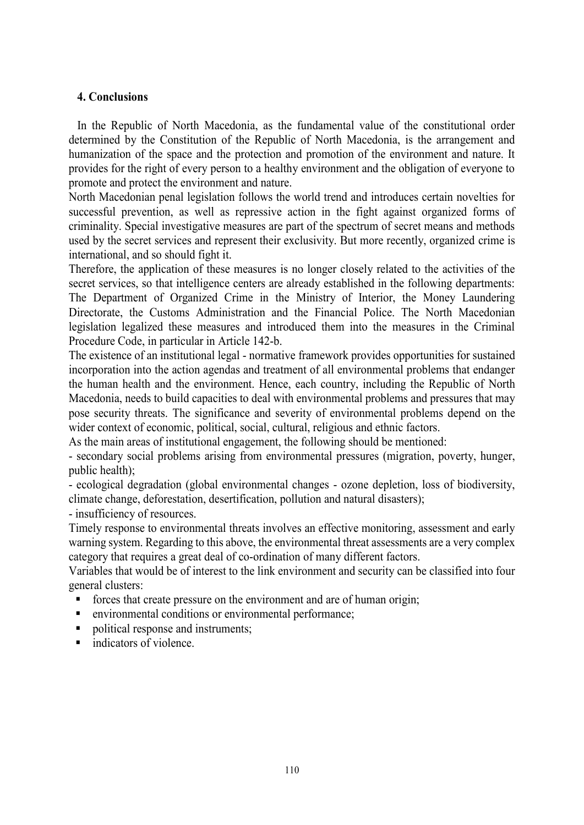### **4. Conclusions**

In the Republic of North Macedonia, as the fundamental value of the constitutional order determined by the Constitution of the Republic of North Macedonia, is the arrangement and humanization of the space and the protection and promotion of the environment and nature. It provides for the right of every person to a healthy environment and the obligation of everyone to promote and protect the environment and nature.

North Macedonian penal legislation follows the world trend and introduces certain novelties for successful prevention, as well as repressive action in the fight against organized forms of criminality. Special investigative measures are part of the spectrum of secret means and methods used by the secret services and represent their exclusivity. But more recently, organized crime is international, and so should fight it.

Therefore, the application of these measures is no longer closely related to the activities of the secret services, so that intelligence centers are already established in the following departments: The Department of Organized Crime in the Ministry of Interior, the Money Laundering Directorate, the Customs Administration and the Financial Police. The North Macedonian legislation legalized these measures and introduced them into the measures in the Criminal Procedure Code, in particular in Article 142-b.

The existence of an institutional legal - normative framework provides opportunities for sustained incorporation into the action agendas and treatment of all environmental problems that endanger the human health and the environment. Hence, each country, including the Republic of North Macedonia, needs to build capacities to deal with environmental problems and pressures that may pose security threats. The significance and severity of environmental problems depend on the wider context of economic, political, social, cultural, religious and ethnic factors.

As the main areas of institutional engagement, the following should be mentioned:

- secondary social problems arising from environmental pressures (migration, poverty, hunger, public health);

- ecological degradation (global environmental changes - ozone depletion, loss of biodiversity, climate change, deforestation, desertification, pollution and natural disasters);

- insufficiency of resources.

Timely response to environmental threats involves an effective monitoring, assessment and early warning system. Regarding to this above, the environmental threat assessments are a very complex category that requires a great deal of co-ordination of many different factors.

Variables that would be of interest to the link environment and security can be classified into four general clusters:

- forces that create pressure on the environment and are of human origin;
- environmental conditions or environmental performance;
- political response and instruments;
- **indicators of violence.**